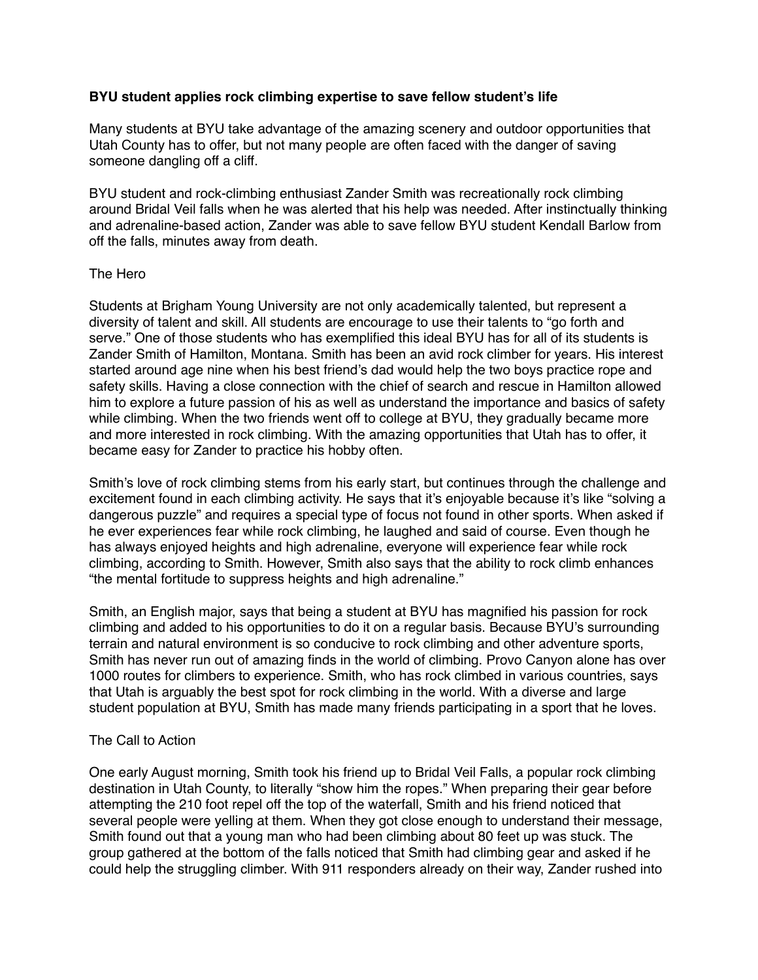# **BYU student applies rock climbing expertise to save fellow student's life**

Many students at BYU take advantage of the amazing scenery and outdoor opportunities that Utah County has to offer, but not many people are often faced with the danger of saving someone dangling off a cliff.

BYU student and rock-climbing enthusiast Zander Smith was recreationally rock climbing around Bridal Veil falls when he was alerted that his help was needed. After instinctually thinking and adrenaline-based action, Zander was able to save fellow BYU student Kendall Barlow from off the falls, minutes away from death.

### The Hero

Students at Brigham Young University are not only academically talented, but represent a diversity of talent and skill. All students are encourage to use their talents to "go forth and serve." One of those students who has exemplified this ideal BYU has for all of its students is Zander Smith of Hamilton, Montana. Smith has been an avid rock climber for years. His interest started around age nine when his best friend's dad would help the two boys practice rope and safety skills. Having a close connection with the chief of search and rescue in Hamilton allowed him to explore a future passion of his as well as understand the importance and basics of safety while climbing. When the two friends went off to college at BYU, they gradually became more and more interested in rock climbing. With the amazing opportunities that Utah has to offer, it became easy for Zander to practice his hobby often.

Smith's love of rock climbing stems from his early start, but continues through the challenge and excitement found in each climbing activity. He says that it's enjoyable because it's like "solving a dangerous puzzle" and requires a special type of focus not found in other sports. When asked if he ever experiences fear while rock climbing, he laughed and said of course. Even though he has always enjoyed heights and high adrenaline, everyone will experience fear while rock climbing, according to Smith. However, Smith also says that the ability to rock climb enhances "the mental fortitude to suppress heights and high adrenaline."

Smith, an English major, says that being a student at BYU has magnified his passion for rock climbing and added to his opportunities to do it on a regular basis. Because BYU's surrounding terrain and natural environment is so conducive to rock climbing and other adventure sports, Smith has never run out of amazing finds in the world of climbing. Provo Canyon alone has over 1000 routes for climbers to experience. Smith, who has rock climbed in various countries, says that Utah is arguably the best spot for rock climbing in the world. With a diverse and large student population at BYU, Smith has made many friends participating in a sport that he loves.

#### The Call to Action

One early August morning, Smith took his friend up to Bridal Veil Falls, a popular rock climbing destination in Utah County, to literally "show him the ropes." When preparing their gear before attempting the 210 foot repel off the top of the waterfall, Smith and his friend noticed that several people were yelling at them. When they got close enough to understand their message, Smith found out that a young man who had been climbing about 80 feet up was stuck. The group gathered at the bottom of the falls noticed that Smith had climbing gear and asked if he could help the struggling climber. With 911 responders already on their way, Zander rushed into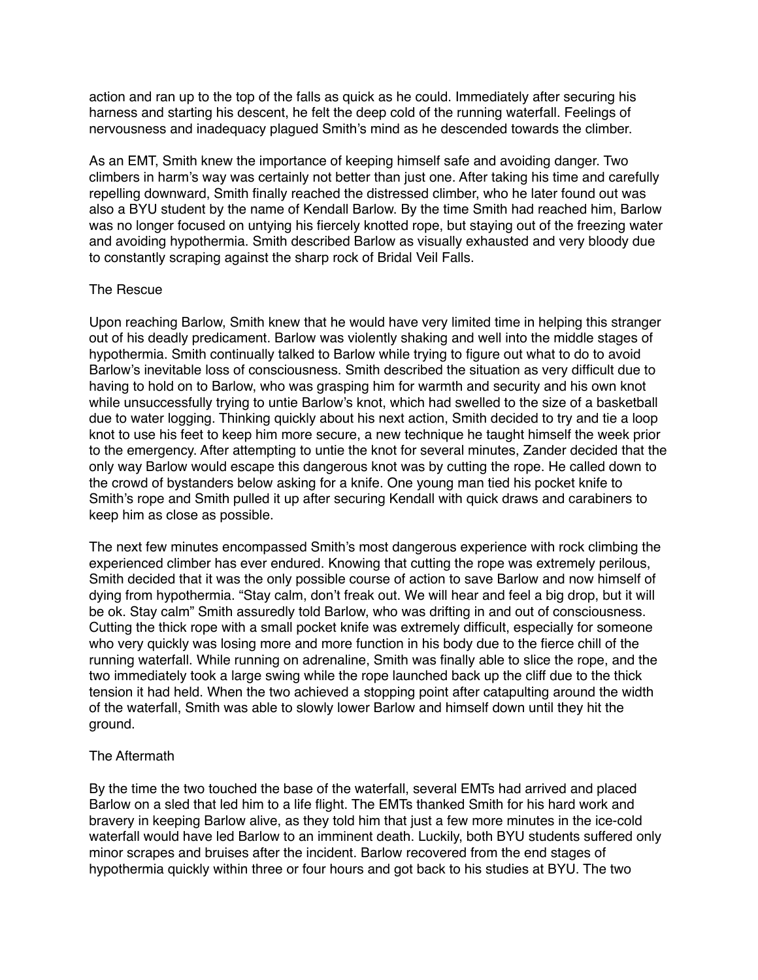action and ran up to the top of the falls as quick as he could. Immediately after securing his harness and starting his descent, he felt the deep cold of the running waterfall. Feelings of nervousness and inadequacy plagued Smith's mind as he descended towards the climber.

As an EMT, Smith knew the importance of keeping himself safe and avoiding danger. Two climbers in harm's way was certainly not better than just one. After taking his time and carefully repelling downward, Smith finally reached the distressed climber, who he later found out was also a BYU student by the name of Kendall Barlow. By the time Smith had reached him, Barlow was no longer focused on untying his fiercely knotted rope, but staying out of the freezing water and avoiding hypothermia. Smith described Barlow as visually exhausted and very bloody due to constantly scraping against the sharp rock of Bridal Veil Falls.

### The Rescue

Upon reaching Barlow, Smith knew that he would have very limited time in helping this stranger out of his deadly predicament. Barlow was violently shaking and well into the middle stages of hypothermia. Smith continually talked to Barlow while trying to figure out what to do to avoid Barlow's inevitable loss of consciousness. Smith described the situation as very difficult due to having to hold on to Barlow, who was grasping him for warmth and security and his own knot while unsuccessfully trying to untie Barlow's knot, which had swelled to the size of a basketball due to water logging. Thinking quickly about his next action, Smith decided to try and tie a loop knot to use his feet to keep him more secure, a new technique he taught himself the week prior to the emergency. After attempting to untie the knot for several minutes, Zander decided that the only way Barlow would escape this dangerous knot was by cutting the rope. He called down to the crowd of bystanders below asking for a knife. One young man tied his pocket knife to Smith's rope and Smith pulled it up after securing Kendall with quick draws and carabiners to keep him as close as possible.

The next few minutes encompassed Smith's most dangerous experience with rock climbing the experienced climber has ever endured. Knowing that cutting the rope was extremely perilous, Smith decided that it was the only possible course of action to save Barlow and now himself of dying from hypothermia. "Stay calm, don't freak out. We will hear and feel a big drop, but it will be ok. Stay calm" Smith assuredly told Barlow, who was drifting in and out of consciousness. Cutting the thick rope with a small pocket knife was extremely difficult, especially for someone who very quickly was losing more and more function in his body due to the fierce chill of the running waterfall. While running on adrenaline, Smith was finally able to slice the rope, and the two immediately took a large swing while the rope launched back up the cliff due to the thick tension it had held. When the two achieved a stopping point after catapulting around the width of the waterfall, Smith was able to slowly lower Barlow and himself down until they hit the ground.

# The Aftermath

By the time the two touched the base of the waterfall, several EMTs had arrived and placed Barlow on a sled that led him to a life flight. The EMTs thanked Smith for his hard work and bravery in keeping Barlow alive, as they told him that just a few more minutes in the ice-cold waterfall would have led Barlow to an imminent death. Luckily, both BYU students suffered only minor scrapes and bruises after the incident. Barlow recovered from the end stages of hypothermia quickly within three or four hours and got back to his studies at BYU. The two